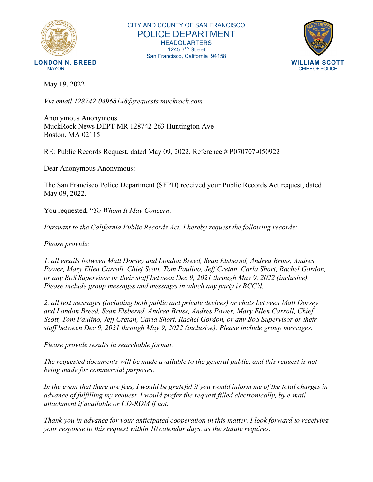

CITY AND COUNTY OF SAN FRANCISCO POLICE DEPARTMENT HEADQUARTERS 1245 3RD Street San Francisco, California 94158



May 19, 2022

*Via email 128742-04968148@requests.muckrock.com*

Anonymous Anonymous MuckRock News DEPT MR 128742 263 Huntington Ave Boston, MA 02115

RE: Public Records Request, dated May 09, 2022, Reference # P070707-050922

Dear Anonymous Anonymous:

The San Francisco Police Department (SFPD) received your Public Records Act request, dated May 09, 2022.

You requested, "*To Whom It May Concern:*

*Pursuant to the California Public Records Act, I hereby request the following records:*

*Please provide:*

*1. all emails between Matt Dorsey and London Breed, Sean Elsbernd, Andrea Bruss, Andres Power, Mary Ellen Carroll, Chief Scott, Tom Paulino, Jeff Cretan, Carla Short, Rachel Gordon, or any BoS Supervisor or their staff between Dec 9, 2021 through May 9, 2022 (inclusive). Please include group messages and messages in which any party is BCC'd.*

*2. all text messages (including both public and private devices) or chats between Matt Dorsey and London Breed, Sean Elsbernd, Andrea Bruss, Andres Power, Mary Ellen Carroll, Chief Scott, Tom Paulino, Jeff Cretan, Carla Short, Rachel Gordon, or any BoS Supervisor or their staff between Dec 9, 2021 through May 9, 2022 (inclusive). Please include group messages.*

*Please provide results in searchable format.*

*The requested documents will be made available to the general public, and this request is not being made for commercial purposes.*

*In the event that there are fees, I would be grateful if you would inform me of the total charges in advance of fulfilling my request. I would prefer the request filled electronically, by e-mail attachment if available or CD-ROM if not.*

*Thank you in advance for your anticipated cooperation in this matter. I look forward to receiving your response to this request within 10 calendar days, as the statute requires.*